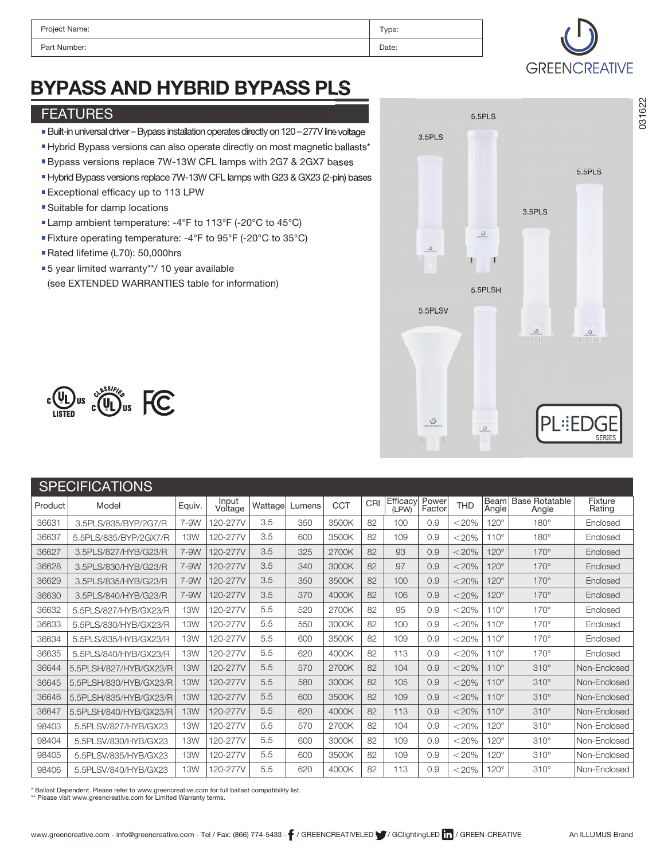| Project Name: | Type: |
|---------------|-------|
| Part Number:  | Date: |



# BYPASS AND HYBRID BYPASS PLS

#### FEATURES

- Built-in universal driver –Bypass installation operatesdirectly on 120 277Vlinevoltage
- Hybrid Bypass versions can also operate directly on most magnetic ballasts\*
- Bypass versions replace 7W-13W CFL lamps with 2G7 & 2GX7 bases
- HybridBypass versions replace 7W-13W CFL lamps with G23 & GX23 (2-pin) bases
- Exceptional efficacy up to 113 LPW
- Suitable for damp locations
- Lamp ambient temperature: -4°F to 113°F (-20°C to 45°C)
- Fixture operating temperature: -4°F to 95°F (-20°C to 35°C)
- Rated lifetime (L70): 50,000hrs
- ■5 year limited warranty\*\*/ 10 year available (see EXTENDED WARRANTIES table for information)





|         | <b>SPECIFICATIONS</b>  |            |                  |         |        |            |     |                   |                 |            |               |                                |                   |
|---------|------------------------|------------|------------------|---------|--------|------------|-----|-------------------|-----------------|------------|---------------|--------------------------------|-------------------|
| Product | Model                  | Equiv.     | Input<br>Voltage | Wattage | Lumens | <b>CCT</b> | CRI | Efficacy<br>(LPW) | Power<br>Factor | <b>THD</b> | Beam<br>Angle | <b>Base Rotatable</b><br>Angle | Fixture<br>Rating |
| 36631   | 3.5PLS/835/BYP/2G7/R   | 7-9W       | 120-277V         | 3.5     | 350    | 3500K      | 82  | 100               | 0.9             | $<$ 20%    | $120^\circ$   | $180^\circ$                    | Enclosed          |
| 36637   | 5.5PLS/835/BYP/2GX7/R  | <b>13W</b> | 120-277V         | 3.5     | 600    | 3500K      | 82  | 109               | 0.9             | $<$ 20%    | $110^\circ$   | $180^\circ$                    | Enclosed          |
| 36627   | 3.5PLS/827/HYB/G23/R   | 7-9W       | 120-277V         | 3.5     | 325    | 2700K      | 82  | 93                | 0.9             | $<$ 20%    | $120^\circ$   | $170^\circ$                    | Enclosed          |
| 36628   | 3.5PLS/830/HYB/G23/R   | 7-9W       | 120-277V         | 3.5     | 340    | 3000K      | 82  | 97                | 0.9             | $< 20\%$   | $120^\circ$   | $170^\circ$                    | Enclosed          |
| 36629   | 3.5PLS/835/HYB/G23/R   | 7-9W       | 120-277V         | 3.5     | 350    | 3500K      | 82  | 100               | 0.9             | $<$ 20%    | $120^\circ$   | $170^\circ$                    | Enclosed          |
| 36630   | 3.5PLS/840/HYB/G23/R   | 7-9W       | 120-277V         | 3.5     | 370    | 4000K      | 82  | 106               | 0.9             | $<$ 20%    | $120^\circ$   | $170^\circ$                    | Enclosed          |
| 36632   | 5.5PLS/827/HYB/GX23/R  | <b>13W</b> | 120-277V         | 5.5     | 520    | 2700K      | 82  | 95                | 0.9             | $<$ 20%    | $110^\circ$   | $170^\circ$                    | Enclosed          |
| 36633   | 5.5PLS/830/HYB/GX23/R  | <b>13W</b> | 120-277V         | 5.5     | 550    | 3000K      | 82  | 100               | 0.9             | $<$ 20%    | $110^\circ$   | $170^\circ$                    | Enclosed          |
| 36634   | 5.5PLS/835/HYB/GX23/R  | <b>13W</b> | 120-277V         | 5.5     | 600    | 3500K      | 82  | 109               | 0.9             | $<$ 20%    | $110^\circ$   | $170^\circ$                    | Enclosed          |
| 36635   | 5.5PLS/840/HYB/GX23/R  | 13W        | 120-277V         | 5.5     | 620    | 4000K      | 82  | 113               | 0.9             | $<$ 20%    | $110^\circ$   | $170^\circ$                    | Enclosed          |
| 36644   | 5.5PLSH/827/HYB/GX23/R | <b>13W</b> | 120-277V         | 5.5     | 570    | 2700K      | 82  | 104               | 0.9             | $< 20\%$   | $110^\circ$   | $310^\circ$                    | Non-Enclosed      |
| 36645   | 5.5PLSH/830/HYB/GX23/R | <b>13W</b> | 120-277V         | 5.5     | 580    | 3000K      | 82  | 105               | 0.9             | $<$ 20%    | $110^\circ$   | $310^\circ$                    | Non-Enclosed      |
| 36646   | 5.5PLSH/835/HYB/GX23/R | <b>13W</b> | 120-277V         | 5.5     | 600    | 3500K      | 82  | 109               | 0.9             | $<$ 20%    | $110^\circ$   | $310^\circ$                    | Non-Enclosed      |
| 36647   | 5.5PLSH/840/HYB/GX23/R | <b>13W</b> | 120-277V         | 5.5     | 620    | 4000K      | 82  | 113               | 0.9             | $<$ 20%    | $110^\circ$   | $310^\circ$                    | Non-Enclosed      |
| 98403   | 5.5PLSV/827/HYB/GX23   | <b>13W</b> | 120-277V         | 5.5     | 570    | 2700K      | 82  | 104               | 0.9             | $<$ 20%    | $120^\circ$   | $310^\circ$                    | Non-Enclosed      |
| 98404   | 5.5PLSV/830/HYB/GX23   | <b>13W</b> | 120-277V         | 5.5     | 600    | 3000K      | 82  | 109               | 0.9             | $<$ 20%    | $120^\circ$   | $310^\circ$                    | Non-Enclosed      |
| 98405   | 5.5PLSV/835/HYB/GX23   | <b>13W</b> | 120-277V         | 5.5     | 600    | 3500K      | 82  | 109               | 0.9             | $<$ 20%    | $120^\circ$   | $310^\circ$                    | Non-Enclosed      |
| 98406   | 5.5PLSV/840/HYB/GX23   | <b>13W</b> | 120-277V         | 5.5     | 620    | 4000K      | 82  | 113               | 0.9             | $<$ 20%    | $120^\circ$   | $310^\circ$                    | Non-Enclosed      |

\* Ballast Dependent. Please refer to www.greencreative.com for full ballast compatibility list.

\*\* Please visit www.greencreative.com for Limited Warranty terms.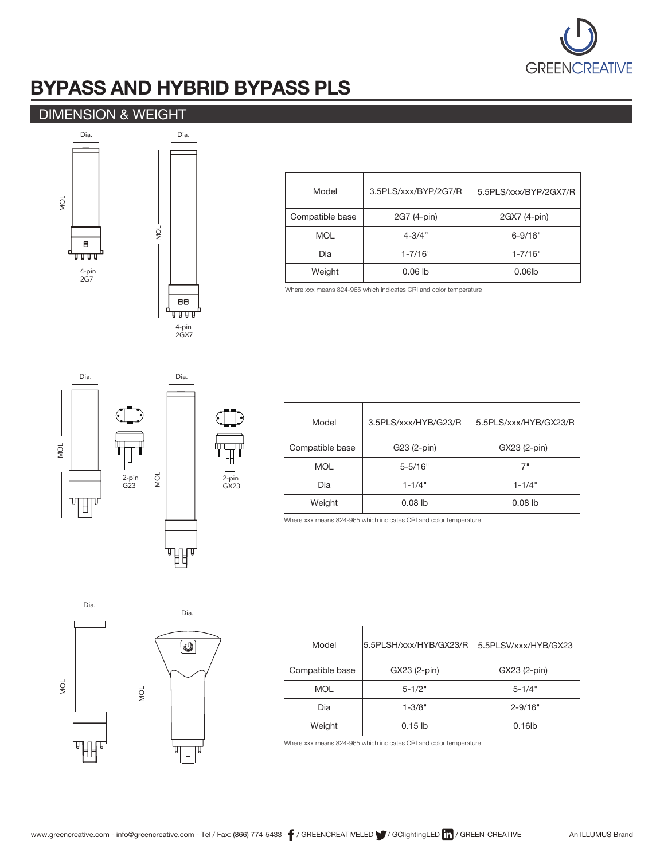

## BYPASS AND HYBRID BYPASS PLS

### DIMENSION & WEIGHT



| Model           | 3.5PLS/xxx/BYP/2G7/R | 5.5PLS/xxx/BYP/2GX7/R |
|-----------------|----------------------|-----------------------|
| Compatible base | 2G7 (4-pin)          | 2GX7 (4-pin)          |
| <b>MOL</b>      | $4 - 3/4"$           | $6 - 9/16"$           |
| Dia             | $1 - 7/16"$          | $1 - 7/16"$           |
| Weight          | $0.06$ lb            | $0.06$ lb             |

Where xxx means 824-965 which indicates CRI and color temperature



| Model           | 3.5PLS/xxx/HYB/G23/R | 5.5PLS/xxx/HYB/GX23/R |
|-----------------|----------------------|-----------------------|
| Compatible base | G23 (2-pin)          | GX23 (2-pin)          |
| <b>MOL</b>      | $5 - 5/16"$          | 7"                    |
| Dia             | $1 - 1/4"$           | $1 - 1/4"$            |
| Weight          | $0.08$ lb            | $0.08$ lb             |

Where xxx means 824-965 which indicates CRI and color temperature



| Model           | 5.5PLSH/xxx/HYB/GX23/RI | 5.5PLSV/xxx/HYB/GX23 |
|-----------------|-------------------------|----------------------|
| Compatible base | GX23 (2-pin)            | GX23 (2-pin)         |
| <b>MOL</b>      | $5 - 1/2"$              | $5 - 1/4"$           |
| Dia             | $1 - 3/8"$              | $2 - 9/16"$          |
| Weight          | $0.15$ lb               | $0.16$ lb            |

Where xxx means 824-965 which indicates CRI and color temperature